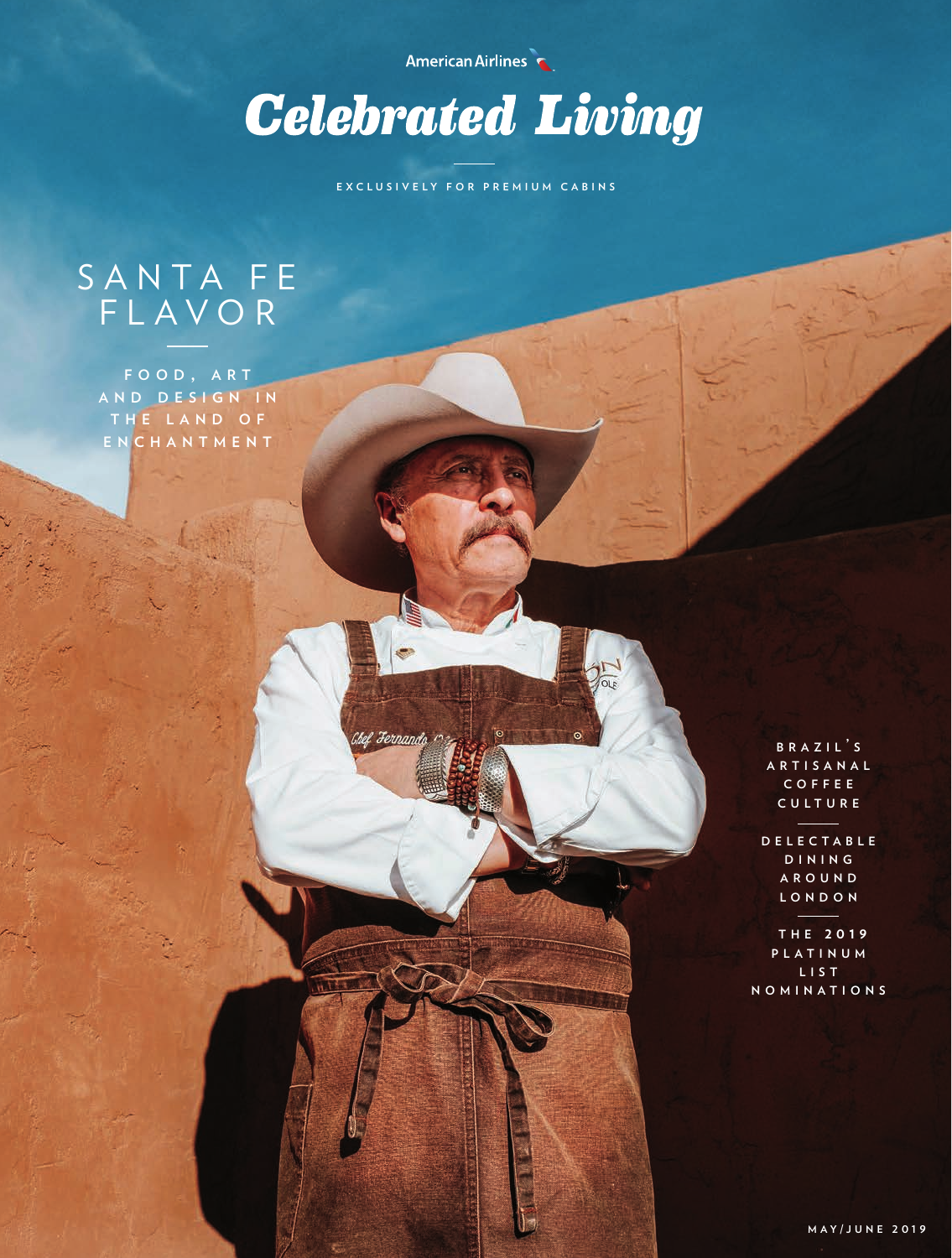American Airlines



**EXCLUSIVELY FOR PREMIUM CABINS**

Jernai

# SANTA FE FLAVOR

**f o o d , a r t a n d d e s i g n i n t h e l a n d o f e n c h a n t m e n t**

> **b r a z i l ' <sup>s</sup> a r t i s a n a l c o f f e e c u l t u r e**

**d e l e c t a b l e d i n i n g a r o u n d l o n d o n**

**t h e 2 0 1 9 p l a t i n u m l i s t n o m i n a t i o n s**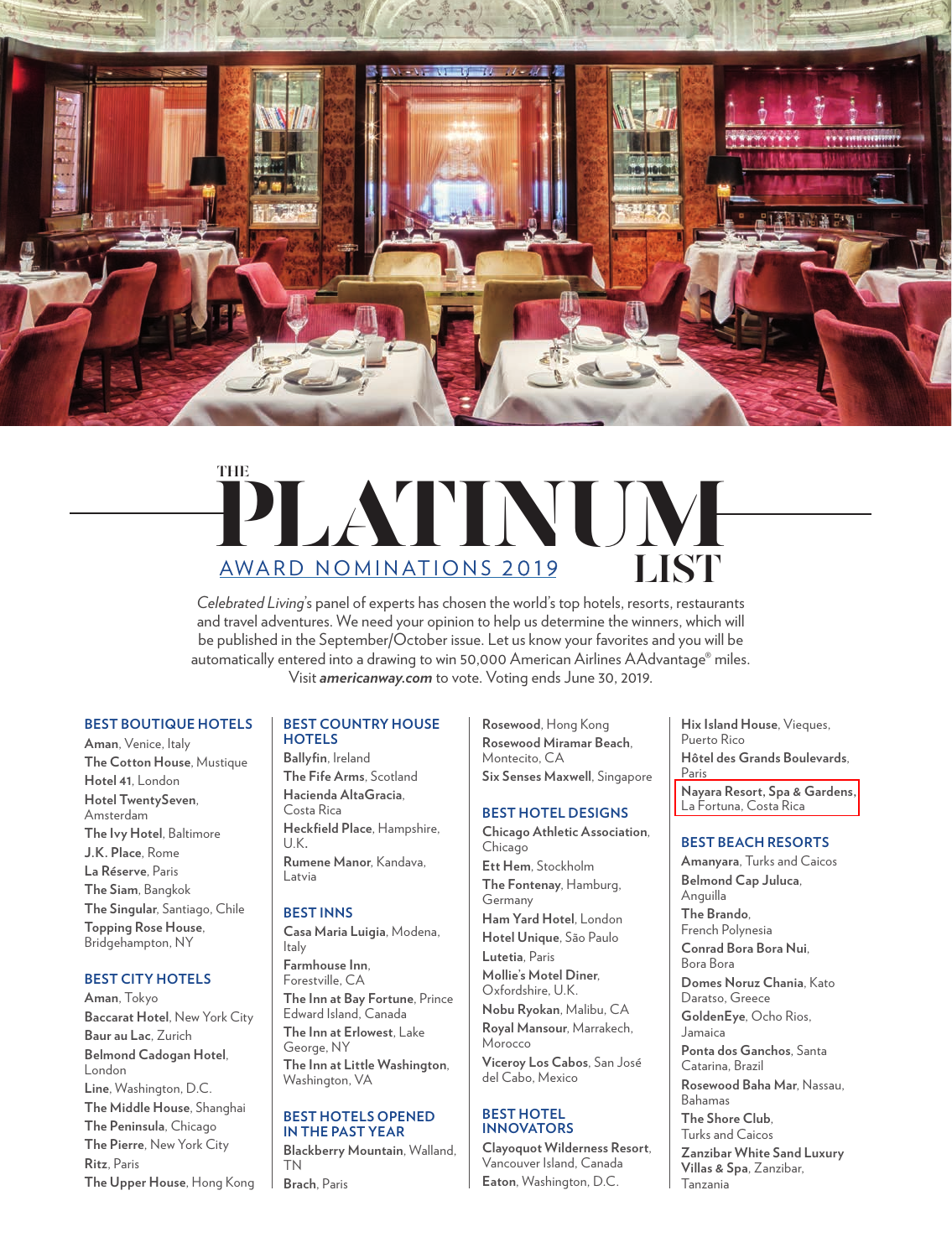

# PLATINUM AWARD NOMINATIONS 2019 **THE LIST**

*Celebrated Living*'s panel of experts has chosen the world's top hotels, resorts, restaurants and travel adventures. We need your opinion to help us determine the winners, which will be published in the September/October issue. Let us know your favorites and you will be automatically entered into a drawing to win 50,000 American Airlines AAdvantage® miles. Visit *americanway.com* to vote. Voting ends June 30, 2019.

# **BEST BOUTIQUE HOTELS**

**Aman**, Venice, Italy **The Cotton House**, Mustique **Hotel 41**, London **Hotel TwentySeven**, Amsterdam **The Ivy Hotel**, Baltimore **J.K. Place**, Rome **La Réserve**, Paris **The Siam**, Bangkok **The Singular**, Santiago, Chile **Topping Rose House**, Bridgehampton, NY

#### **BEST CITY HOTELS**

**Aman**, Tokyo **Baccarat Hotel**, New York City **Baur au Lac**, Zurich **Belmond Cadogan Hotel**, London **Line**, Washington, D.C. **The Middle House**, Shanghai **The Peninsula**, Chicago **The Pierre**, New York City **Ritz**, Paris **The Upper House**, Hong Kong

#### **BEST COUNTRY HOUSE HOTELS**

**Ballyfin**, Ireland **The Fife Arms**, Scotland **Hacienda AltaGracia**, Costa Rica **Heckfield Place**, Hampshire, U.K**. Rumene Manor**, Kandava, Latvia

#### **BEST INNS**

**Casa Maria Luigia**, Modena, Italy **Farmhouse Inn**, Forestville, CA **The Inn at Bay Fortune**, Prince Edward Island, Canada **The Inn at Erlowest**, Lake George, NY **The Inn at Little Washington**, Washington, VA

#### **BEST HOTELS OPENED IN THE PAST YEAR**

**Blackberry Mountain**, Walland, TN **Brach**, Paris

**Rosewood**, Hong Kong **Rosewood Miramar Beach**, Montecito, CA **Six Senses Maxwell**, Singapore

#### **BEST HOTEL DESIGNS**

**Chicago Athletic Association**, Chicago **Ett Hem**, Stockholm **The Fontenay**, Hamburg, Germany **Ham Yard Hotel**, London **Hotel Unique**, São Paulo **Lutetia**, Paris **Mollie's Motel Diner**, Oxfordshire, U.K.

**Nobu Ryokan**, Malibu, CA **Royal Mansour**, Marrakech, Morocco **Viceroy Los Cabos**, San José

del Cabo, Mexico **BEST HOTEL** 

# **INNOVATORS**

**Clayoquot Wilderness Resort**, Vancouver Island, Canada **Eaton**, Washington, D.C.

**Hix Island House**, Vieques, Puerto Rico **Hôtel des Grands Boulevards**, Paris

**Nayara Resort, Spa & Gardens,** La Fortuna, Costa Rica

#### **BEST BEACH RESORTS**

**Amanyara**, Turks and Caicos **Belmond Cap Juluca**, Anguilla **The Brando**, French Polynesia **Conrad Bora Bora Nui**, Bora Bora **Domes Noruz Chania**, Kato Daratso, Greece **GoldenEye**, Ocho Rios, Jamaica **Ponta dos Ganchos**, Santa Catarina, Brazil **Rosewood Baha Mar**, Nassau, Bahamas **The Shore Club**, Turks and Caicos **Zanzibar White Sand Luxury Villas & Spa**, Zanzibar, Tanzania